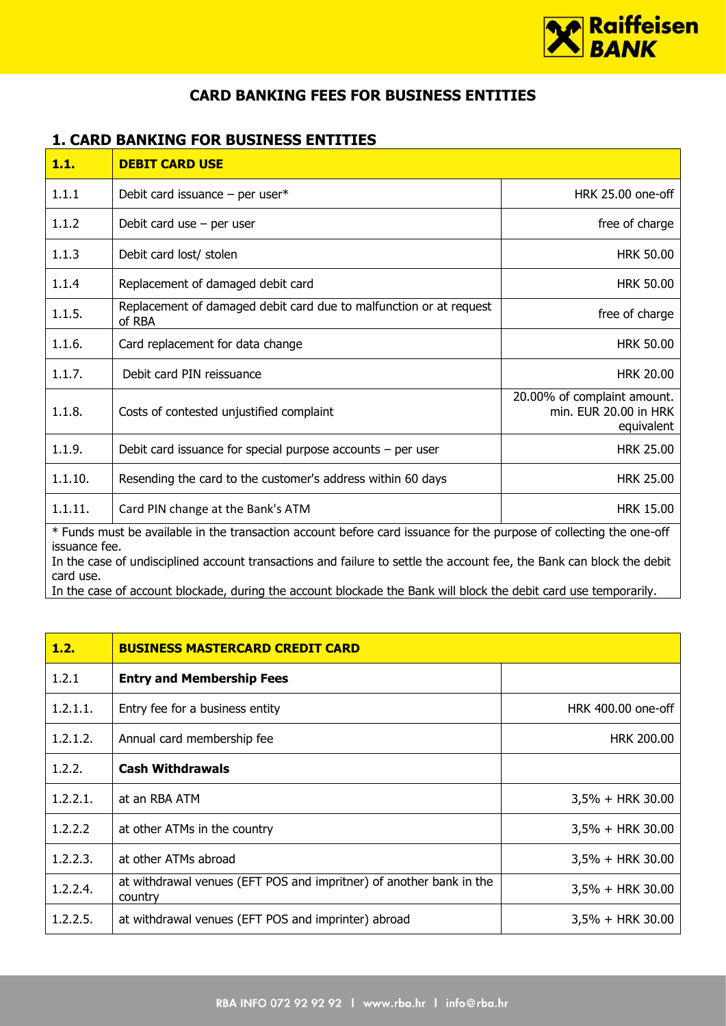

## **CARD BANKING FEES FOR BUSINESS ENTITIES**

## **1. CARD BANKING FOR BUSINESS ENTITIES**

| 1.1.                                                                                                                                                                                                                                                                                                                                                                                           | <b>DEBIT CARD USE</b>                                                        |                                                                    |  |
|------------------------------------------------------------------------------------------------------------------------------------------------------------------------------------------------------------------------------------------------------------------------------------------------------------------------------------------------------------------------------------------------|------------------------------------------------------------------------------|--------------------------------------------------------------------|--|
| 1.1.1                                                                                                                                                                                                                                                                                                                                                                                          | Debit card issuance $-$ per user*                                            | HRK 25.00 one-off                                                  |  |
| 1.1.2                                                                                                                                                                                                                                                                                                                                                                                          | Debit card use $-$ per user                                                  | free of charge                                                     |  |
| 1.1.3                                                                                                                                                                                                                                                                                                                                                                                          | Debit card lost/ stolen                                                      | <b>HRK 50.00</b>                                                   |  |
| 1.1.4                                                                                                                                                                                                                                                                                                                                                                                          | Replacement of damaged debit card                                            | <b>HRK 50.00</b>                                                   |  |
| 1.1.5.                                                                                                                                                                                                                                                                                                                                                                                         | Replacement of damaged debit card due to malfunction or at request<br>of RBA | free of charge                                                     |  |
| 1.1.6.                                                                                                                                                                                                                                                                                                                                                                                         | Card replacement for data change                                             | <b>HRK 50.00</b>                                                   |  |
| 1.1.7.                                                                                                                                                                                                                                                                                                                                                                                         | Debit card PIN reissuance                                                    | <b>HRK 20.00</b>                                                   |  |
| 1.1.8.                                                                                                                                                                                                                                                                                                                                                                                         | Costs of contested unjustified complaint                                     | 20.00% of complaint amount.<br>min. EUR 20.00 in HRK<br>equivalent |  |
| 1.1.9.                                                                                                                                                                                                                                                                                                                                                                                         | Debit card issuance for special purpose accounts $-$ per user                | <b>HRK 25.00</b>                                                   |  |
| 1.1.10.                                                                                                                                                                                                                                                                                                                                                                                        | Resending the card to the customer's address within 60 days                  | <b>HRK 25.00</b>                                                   |  |
| 1.1.11.                                                                                                                                                                                                                                                                                                                                                                                        | Card PIN change at the Bank's ATM                                            | <b>HRK 15.00</b>                                                   |  |
| * Funds must be available in the transaction account before card issuance for the purpose of collecting the one-off<br>issuance fee.<br>In the case of undisciplined account transactions and failure to settle the account fee, the Bank can block the debit<br>card use.<br>In the case of account blockade, during the account blockade the Bank will block the debit card use temporarily. |                                                                              |                                                                    |  |

| 1.2.        | <b>BUSINESS MASTERCARD CREDIT CARD</b>                                         |                     |
|-------------|--------------------------------------------------------------------------------|---------------------|
| 1.2.1       | <b>Entry and Membership Fees</b>                                               |                     |
| 1.2.1.1.    | Entry fee for a business entity                                                | HRK 400.00 one-off  |
| 1.2.1.2.    | Annual card membership fee                                                     | <b>HRK 200.00</b>   |
| 1.2.2.      | <b>Cash Withdrawals</b>                                                        |                     |
| 1, 2, 2, 1, | at an RBA ATM                                                                  | $3,5\% + HRK 30.00$ |
| 1.2.2.2     | at other ATMs in the country                                                   | $3,5\% + HRK 30.00$ |
| 1.2.2.3.    | at other ATMs abroad                                                           | $3,5\% + HRK 30.00$ |
| 1.2.2.4.    | at withdrawal venues (EFT POS and impritner) of another bank in the<br>country | 3,5% + HRK 30.00    |
| 1.2.2.5.    | at withdrawal venues (EFT POS and imprinter) abroad                            | $3,5\% + HRK 30.00$ |